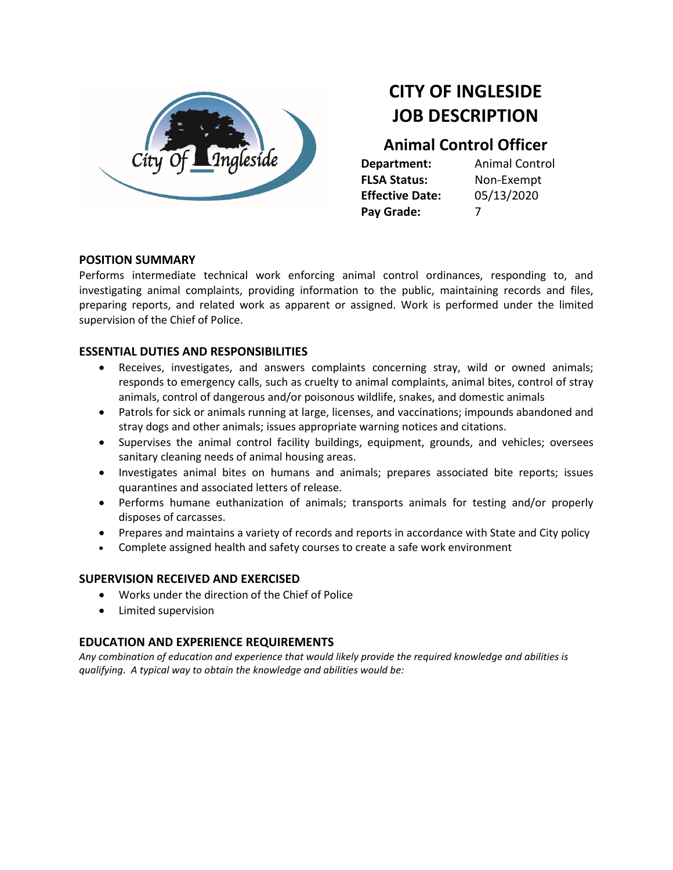

# **CITY OF INGLESIDE JOB DESCRIPTION**

# **Animal Control Officer**

**FLSA Status:** Non-Exempt **Effective Date:** 05/13/2020 **Pay Grade:** 7

**Department:** Animal Control

## **POSITION SUMMARY**

Performs intermediate technical work enforcing animal control ordinances, responding to, and investigating animal complaints, providing information to the public, maintaining records and files, preparing reports, and related work as apparent or assigned. Work is performed under the limited supervision of the Chief of Police.

## **ESSENTIAL DUTIES AND RESPONSIBILITIES**

- Receives, investigates, and answers complaints concerning stray, wild or owned animals; responds to emergency calls, such as cruelty to animal complaints, animal bites, control of stray animals, control of dangerous and/or poisonous wildlife, snakes, and domestic animals
- Patrols for sick or animals running at large, licenses, and vaccinations; impounds abandoned and stray dogs and other animals; issues appropriate warning notices and citations.
- Supervises the animal control facility buildings, equipment, grounds, and vehicles; oversees sanitary cleaning needs of animal housing areas.
- Investigates animal bites on humans and animals; prepares associated bite reports; issues quarantines and associated letters of release.
- Performs humane euthanization of animals; transports animals for testing and/or properly disposes of carcasses.
- Prepares and maintains a variety of records and reports in accordance with State and City policy
- Complete assigned health and safety courses to create a safe work environment

#### **SUPERVISION RECEIVED AND EXERCISED**

- Works under the direction of the Chief of Police
- Limited supervision

# **EDUCATION AND EXPERIENCE REQUIREMENTS**

*Any combination of education and experience that would likely provide the required knowledge and abilities is qualifying. A typical way to obtain the knowledge and abilities would be:*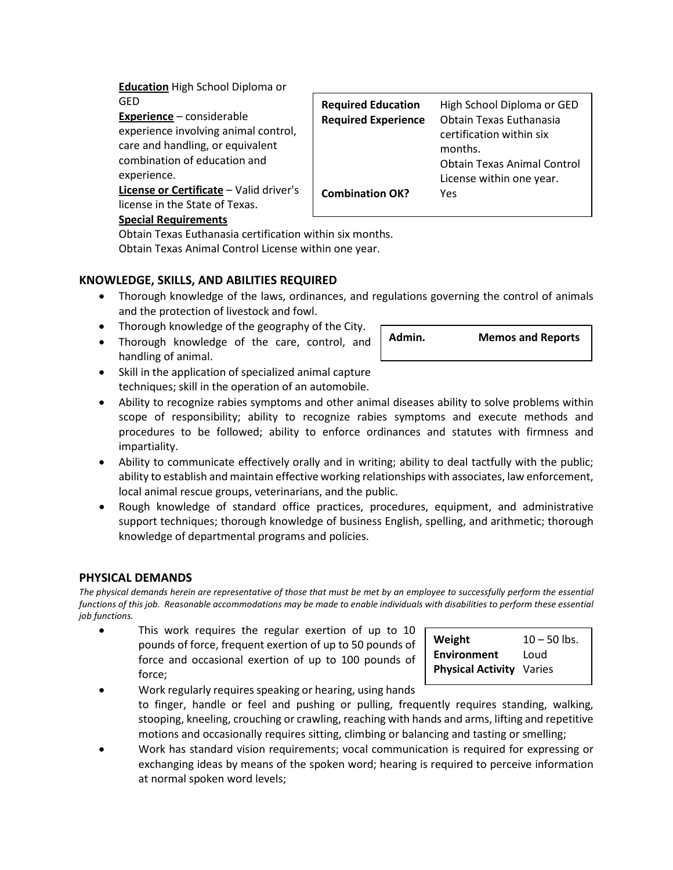**Education** High School Diploma or GED

**Experience** – considerable experience involving animal control, care and handling, or equivalent combination of education and experience.

**License or Certificate** – Valid driver's license in the State of Texas.

#### **Special Requirements**

Obtain Texas Euthanasia certification within six months. Obtain Texas Animal Control License within one year.

# **KNOWLEDGE, SKILLS, AND ABILITIES REQUIRED**

- Thorough knowledge of the laws, ordinances, and regulations governing the control of animals and the protection of livestock and fowl.
- Thorough knowledge of the geography of the City.
- Thorough knowledge of the care, control, and handling of animal.
- Skill in the application of specialized animal capture techniques; skill in the operation of an automobile.
- Ability to recognize rabies symptoms and other animal diseases ability to solve problems within scope of responsibility; ability to recognize rabies symptoms and execute methods and procedures to be followed; ability to enforce ordinances and statutes with firmness and impartiality.
- Ability to communicate effectively orally and in writing; ability to deal tactfully with the public; ability to establish and maintain effective working relationships with associates, law enforcement, local animal rescue groups, veterinarians, and the public.
- Rough knowledge of standard office practices, procedures, equipment, and administrative support techniques; thorough knowledge of business English, spelling, and arithmetic; thorough knowledge of departmental programs and policies.

#### **PHYSICAL DEMANDS**

*The physical demands herein are representative of those that must be met by an employee to successfully perform the essential functions of this job. Reasonable accommodations may be made to enable individuals with disabilities to perform these essential job functions.*

• This work requires the regular exertion of up to 10 pounds of force, frequent exertion of up to 50 pounds of force and occasional exertion of up to 100 pounds of force;

| force:                                                   |  |  |  |                                                                                          |  |  |  |  | <b>Physical Activity Varies</b> |  |  |  |
|----------------------------------------------------------|--|--|--|------------------------------------------------------------------------------------------|--|--|--|--|---------------------------------|--|--|--|
| Work regularly requires speaking or hearing, using hands |  |  |  |                                                                                          |  |  |  |  |                                 |  |  |  |
|                                                          |  |  |  | to finger, handle or feel and pushing or pulling, frequently requires standing, walking, |  |  |  |  |                                 |  |  |  |
|                                                          |  |  |  |                                                                                          |  |  |  |  |                                 |  |  |  |

- to finger, handle or feel stooping, kneeling, crouching or crawling, reaching with hands and arms, lifting and repetitive motions and occasionally requires sitting, climbing or balancing and tasting or smelling;
- Work has standard vision requirements; vocal communication is required for expressing or exchanging ideas by means of the spoken word; hearing is required to perceive information at normal spoken word levels;

| <b>Required Experience</b><br><b>Obtain Texas Euthanasia</b><br>certification within six<br>months. |
|-----------------------------------------------------------------------------------------------------|
| <b>Obtain Texas Animal Control</b><br>License within one year.<br><b>Combination OK?</b><br>Yes     |
|                                                                                                     |



**Weight**  $10 - 50$  lbs. **Environment** Loud